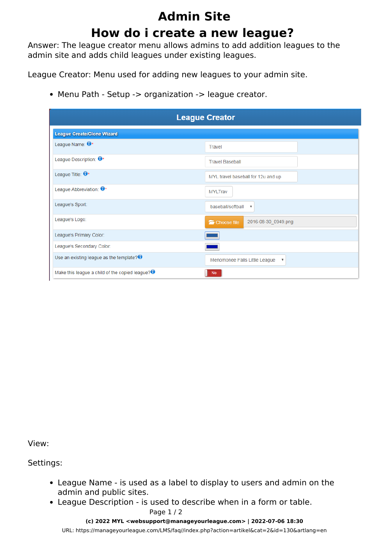## **Admin Site How do i create a new league?**

Answer: The league creator menu allows admins to add addition leagues to the admin site and adds child leagues under existing leagues.

League Creator: Menu used for adding new leagues to your admin site.

• Menu Path - Setup -> organization -> league creator.

| <b>League Creator</b>                             |                                                |
|---------------------------------------------------|------------------------------------------------|
| <b>League Create/Clone Wizard</b>                 |                                                |
| League Name: $\mathbf{\Theta}^*$                  | Travel                                         |
| League Description: 0*                            | <b>Travel Baseball</b>                         |
| League Title: $\mathbf{0}^*$                      | MYL travel baseball for 12u and up             |
| League Abbreviation: 0*                           | <b>MYLTrav</b>                                 |
| League's Sport:                                   | baseball/softball<br>$\boldsymbol{\mathrm{v}}$ |
| League's Logo:                                    | 2016-08-30_0949.png<br>Choose file             |
| League's Primary Color:                           |                                                |
| League's Secondary Color:                         |                                                |
| Use an existing league as the template? $\bullet$ | Menomonee Falls Little League v                |
| Make this league a child of the copied league?    | <b>No</b>                                      |

View:

Settings:

- League Name is used as a label to display to users and admin on the admin and public sites.
- League Description is used to describe when in a form or table.

Page 1 / 2

**(c) 2022 MYL <websupport@manageyourleague.com> | 2022-07-06 18:30**

[URL: https://manageyourleague.com/LMS/faq//index.php?action=artikel&cat=2&id=130&artlang=en](https://manageyourleague.com/LMS/faq//index.php?action=artikel&cat=2&id=130&artlang=en)